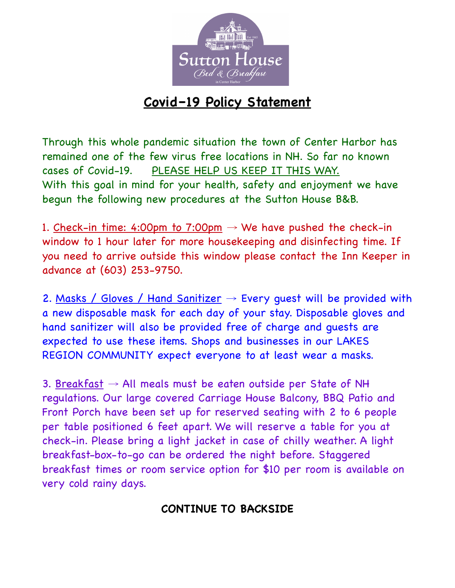

## **Covid–19 Policy Statement**

Through this whole pandemic situation the town of Center Harbor has remained one of the few virus free locations in NH. So far no known cases of Covid-19. PLEASE HELP US KEEP IT THIS WAY. With this goal in mind for your health, safety and enjoyment we have begun the following new procedures at the Sutton House B&B.

1. Check-in time: 4:00pm to 7:00pm  $\rightarrow$  We have pushed the check-in window to 1 hour later for more housekeeping and disinfecting time. If you need to arrive outside this window please contact the Inn Keeper in advance at (603) 253-9750.

2. Masks / Gloves / Hand Sanitizer  $\rightarrow$  Every guest will be provided with a new disposable mask for each day of your stay. Disposable gloves and hand sanitizer will also be provided free of charge and guests are expected to use these items. Shops and businesses in our LAKES REGION COMMUNITY expect everyone to at least wear a masks.

3. Breakfast  $\rightarrow$  All meals must be eaten outside per State of NH regulations. Our large covered Carriage House Balcony, BBQ Patio and Front Porch have been set up for reserved seating with 2 to 6 people per table positioned 6 feet apart. We will reserve a table for you at check-in. Please bring a light jacket in case of chilly weather. A light breakfast-box-to-go can be ordered the night before. Staggered breakfast times or room service option for \$10 per room is available on very cold rainy days.

## **CONTINUE TO BACKSIDE**